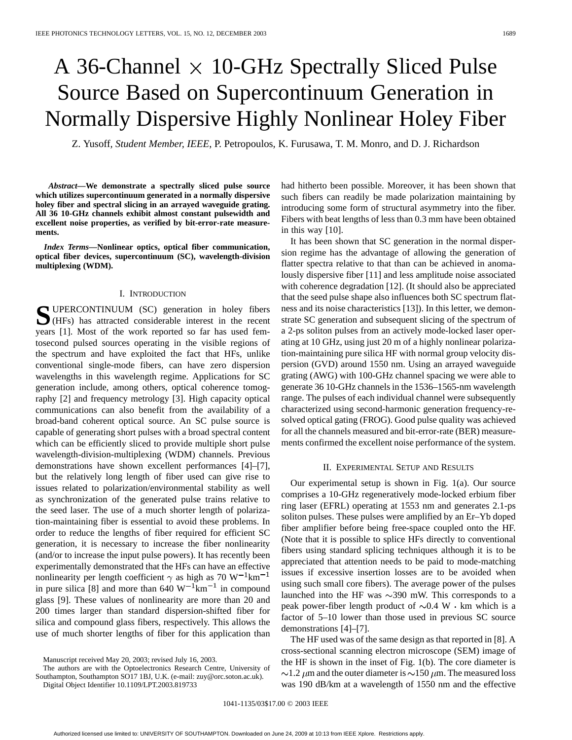# A 36-Channel  $\times$  10-GHz Spectrally Sliced Pulse Source Based on Supercontinuum Generation in Normally Dispersive Highly Nonlinear Holey Fiber

Z. Yusoff*, Student Member, IEEE*, P. Petropoulos, K. Furusawa, T. M. Monro, and D. J. Richardson

*Abstract—***We demonstrate a spectrally sliced pulse source which utilizes supercontinuum generated in a normally dispersive holey fiber and spectral slicing in an arrayed waveguide grating. All 36 10-GHz channels exhibit almost constant pulsewidth and excellent noise properties, as verified by bit-error-rate measurements.**

*Index Terms—***Nonlinear optics, optical fiber communication, optical fiber devices, supercontinuum (SC), wavelength-division multiplexing (WDM).**

### I. INTRODUCTION

**S**UPERCONTINUUM (SC) generation in holey fibers (HFs) has attracted considerable interest in the recent years [1]. Most of the work reported so far has used femtosecond pulsed sources operating in the visible regions of the spectrum and have exploited the fact that HFs, unlike conventional single-mode fibers, can have zero dispersion wavelengths in this wavelength regime. Applications for SC generation include, among others, optical coherence tomography [2] and frequency metrology [3]. High capacity optical communications can also benefit from the availability of a broad-band coherent optical source. An SC pulse source is capable of generating short pulses with a broad spectral content which can be efficiently sliced to provide multiple short pulse wavelength-division-multiplexing (WDM) channels. Previous demonstrations have shown excellent performances [4]–[7], but the relatively long length of fiber used can give rise to issues related to polarization/environmental stability as well as synchronization of the generated pulse trains relative to the seed laser. The use of a much shorter length of polarization-maintaining fiber is essential to avoid these problems. In order to reduce the lengths of fiber required for efficient SC generation, it is necessary to increase the fiber nonlinearity (and/or to increase the input pulse powers). It has recently been experimentally demonstrated that the HFs can have an effective nonlinearity per length coefficient  $\gamma$  as high as 70 W<sup>-1</sup>km<sup>-1</sup> in pure silica [8] and more than 640  $W^{-1}$ km<sup>-1</sup> in compound glass [9]. These values of nonlinearity are more than 20 and 200 times larger than standard dispersion-shifted fiber for silica and compound glass fibers, respectively. This allows the use of much shorter lengths of fiber for this application than

Digital Object Identifier 10.1109/LPT.2003.819733

had hitherto been possible. Moreover, it has been shown that such fibers can readily be made polarization maintaining by introducing some form of structural asymmetry into the fiber. Fibers with beat lengths of less than 0.3 mm have been obtained in this way [10].

It has been shown that SC generation in the normal dispersion regime has the advantage of allowing the generation of flatter spectra relative to that than can be achieved in anomalously dispersive fiber [11] and less amplitude noise associated with coherence degradation [12]. (It should also be appreciated that the seed pulse shape also influences both SC spectrum flatness and its noise characteristics [13]). In this letter, we demonstrate SC generation and subsequent slicing of the spectrum of a 2-ps soliton pulses from an actively mode-locked laser operating at 10 GHz, using just 20 m of a highly nonlinear polarization-maintaining pure silica HF with normal group velocity dispersion (GVD) around 1550 nm. Using an arrayed waveguide grating (AWG) with 100-GHz channel spacing we were able to generate 36 10-GHz channels in the 1536–1565-nm wavelength range. The pulses of each individual channel were subsequently characterized using second-harmonic generation frequency-resolved optical gating (FROG). Good pulse quality was achieved for all the channels measured and bit-error-rate (BER) measurements confirmed the excellent noise performance of the system.

# II. EXPERIMENTAL SETUP AND RESULTS

Our experimental setup is shown in Fig. 1(a). Our source comprises a 10-GHz regeneratively mode-locked erbium fiber ring laser (EFRL) operating at 1553 nm and generates 2.1-ps soliton pulses. These pulses were amplified by an Er–Yb doped fiber amplifier before being free-space coupled onto the HF. (Note that it is possible to splice HFs directly to conventional fibers using standard splicing techniques although it is to be appreciated that attention needs to be paid to mode-matching issues if excessive insertion losses are to be avoided when using such small core fibers). The average power of the pulses launched into the HF was  $\sim$ 390 mW. This corresponds to a peak power-fiber length product of  $\sim 0.4$  W  $\cdot$  km which is a factor of 5–10 lower than those used in previous SC source demonstrations [4]–[7].

The HF used was of the same design as that reported in [8]. A cross-sectional scanning electron microscope (SEM) image of the HF is shown in the inset of Fig. 1(b). The core diameter is  $\sim$ 1.2  $\mu$ m and the outer diameter is  $\sim$ 150  $\mu$ m. The measured loss was 190 dB/km at a wavelength of 1550 nm and the effective

Manuscript received May 20, 2003; revised July 16, 2003.

The authors are with the Optoelectronics Research Centre, University of Southampton, Southampton SO17 1BJ, U.K. (e-mail: zuy@orc.soton.ac.uk).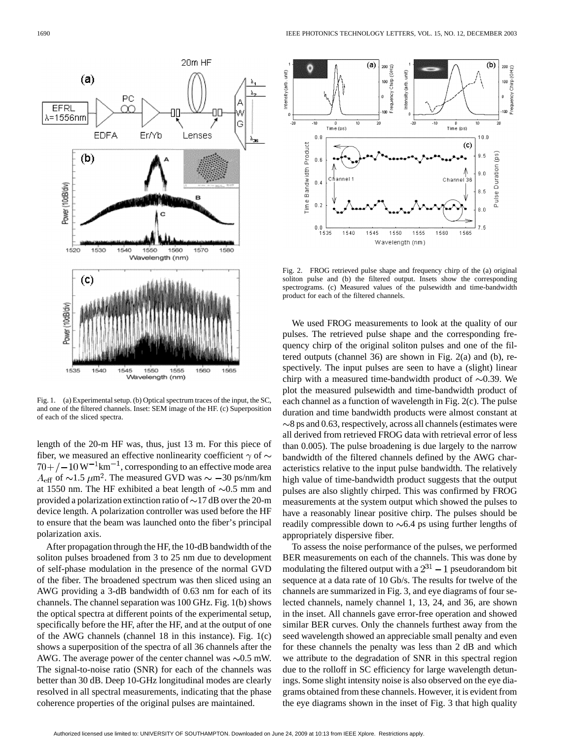

Fig. 1. (a) Experimental setup. (b) Optical spectrum traces of the input, the SC, and one of the filtered channels. Inset: SEM image of the HF. (c) Superposition of each of the sliced spectra.

length of the 20-m HF was, thus, just 13 m. For this piece of fiber, we measured an effective nonlinearity coefficient  $\gamma$  of  $\sim$  $70 + (-10 \text{ W}^{-1} \text{km}^{-1})$ , corresponding to an effective mode area  $A_{\text{eff}}$  of  $\sim$ 1.5  $\mu$ m<sup>2</sup>. The measured GVD was  $\sim$  -30 ps/nm/km at 1550 nm. The HF exhibited a beat length of  $\sim 0.5$  mm and provided a polarization extinction ratio of  $\sim$ 17 dB over the 20-m device length. A polarization controller was used before the HF to ensure that the beam was launched onto the fiber's principal polarization axis.

After propagation through the HF, the 10-dB bandwidth of the soliton pulses broadened from 3 to 25 nm due to development of self-phase modulation in the presence of the normal GVD of the fiber. The broadened spectrum was then sliced using an AWG providing a 3-dB bandwidth of 0.63 nm for each of its channels. The channel separation was 100 GHz. Fig. 1(b) shows the optical spectra at different points of the experimental setup, specifically before the HF, after the HF, and at the output of one of the AWG channels (channel 18 in this instance). Fig. 1(c) shows a superposition of the spectra of all 36 channels after the AWG. The average power of the center channel was  $\sim 0.5$  mW. The signal-to-noise ratio (SNR) for each of the channels was better than 30 dB. Deep 10-GHz longitudinal modes are clearly resolved in all spectral measurements, indicating that the phase coherence properties of the original pulses are maintained.



Fig. 2. FROG retrieved pulse shape and frequency chirp of the (a) original soliton pulse and (b) the filtered output. Insets show the corresponding spectrograms. (c) Measured values of the pulsewidth and time-bandwidth product for each of the filtered channels.

We used FROG measurements to look at the quality of our pulses. The retrieved pulse shape and the corresponding frequency chirp of the original soliton pulses and one of the filtered outputs (channel 36) are shown in Fig. 2(a) and (b), respectively. The input pulses are seen to have a (slight) linear chirp with a measured time-bandwidth product of  $\sim 0.39$ . We plot the measured pulsewidth and time-bandwidth product of each channel as a function of wavelength in Fig. 2(c). The pulse duration and time bandwidth products were almost constant at  $\sim$ 8 ps and 0.63, respectively, across all channels (estimates were all derived from retrieved FROG data with retrieval error of less than 0.005). The pulse broadening is due largely to the narrow bandwidth of the filtered channels defined by the AWG characteristics relative to the input pulse bandwidth. The relatively high value of time-bandwidth product suggests that the output pulses are also slightly chirped. This was confirmed by FROG measurements at the system output which showed the pulses to have a reasonably linear positive chirp. The pulses should be readily compressible down to  $\sim 6.4$  ps using further lengths of appropriately dispersive fiber.

To assess the noise performance of the pulses, we performed BER measurements on each of the channels. This was done by modulating the filtered output with a  $2^{31} - 1$  pseudorandom bit sequence at a data rate of 10 Gb/s. The results for twelve of the channels are summarized in Fig. 3, and eye diagrams of four selected channels, namely channel 1, 13, 24, and 36, are shown in the inset. All channels gave error-free operation and showed similar BER curves. Only the channels furthest away from the seed wavelength showed an appreciable small penalty and even for these channels the penalty was less than 2 dB and which we attribute to the degradation of SNR in this spectral region due to the rolloff in SC efficiency for large wavelength detunings. Some slight intensity noise is also observed on the eye diagrams obtained from these channels. However, it is evident from the eye diagrams shown in the inset of Fig. 3 that high quality